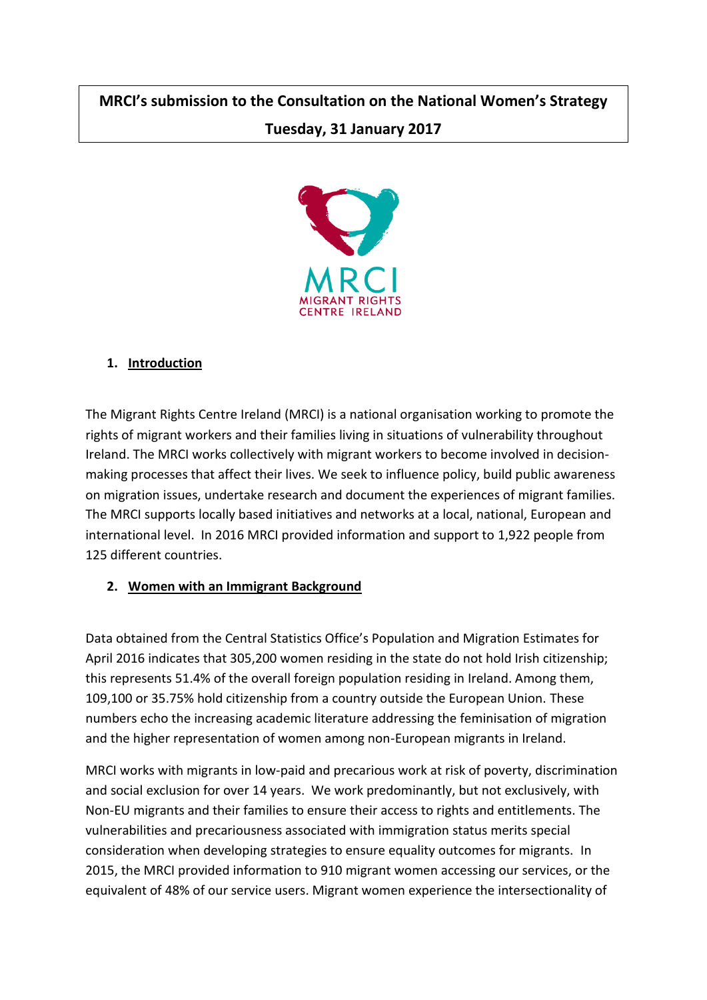# **MRCI's submission to the Consultation on the National Women's Strategy Tuesday, 31 January 2017**



#### **1. Introduction**

The Migrant Rights Centre Ireland (MRCI) is a national organisation working to promote the rights of migrant workers and their families living in situations of vulnerability throughout Ireland. The MRCI works collectively with migrant workers to become involved in decisionmaking processes that affect their lives. We seek to influence policy, build public awareness on migration issues, undertake research and document the experiences of migrant families. The MRCI supports locally based initiatives and networks at a local, national, European and international level. In 2016 MRCI provided information and support to 1,922 people from 125 different countries.

# **2. Women with an Immigrant Background**

Data obtained from the Central Statistics Office's Population and Migration Estimates for April 2016 indicates that 305,200 women residing in the state do not hold Irish citizenship; this represents 51.4% of the overall foreign population residing in Ireland. Among them, 109,100 or 35.75% hold citizenship from a country outside the European Union. These numbers echo the increasing academic literature addressing the feminisation of migration and the higher representation of women among non-European migrants in Ireland.

MRCI works with migrants in low-paid and precarious work at risk of poverty, discrimination and social exclusion for over 14 years. We work predominantly, but not exclusively, with Non-EU migrants and their families to ensure their access to rights and entitlements. The vulnerabilities and precariousness associated with immigration status merits special consideration when developing strategies to ensure equality outcomes for migrants. In 2015, the MRCI provided information to 910 migrant women accessing our services, or the equivalent of 48% of our service users. Migrant women experience the intersectionality of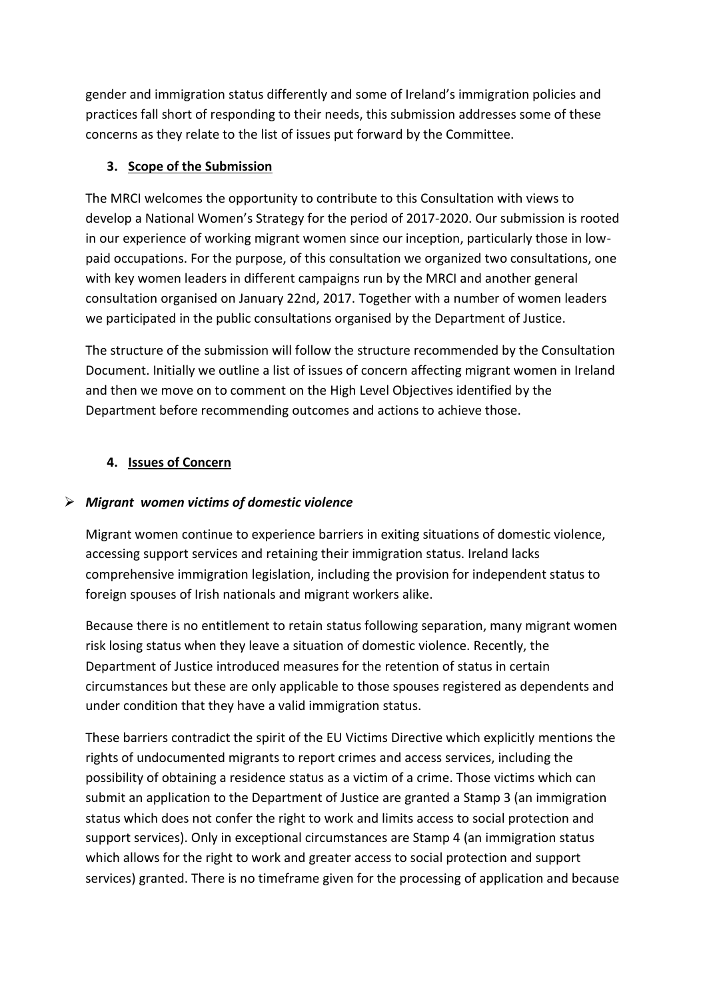gender and immigration status differently and some of Ireland's immigration policies and practices fall short of responding to their needs, this submission addresses some of these concerns as they relate to the list of issues put forward by the Committee.

# **3. Scope of the Submission**

The MRCI welcomes the opportunity to contribute to this Consultation with views to develop a National Women's Strategy for the period of 2017-2020. Our submission is rooted in our experience of working migrant women since our inception, particularly those in lowpaid occupations. For the purpose, of this consultation we organized two consultations, one with key women leaders in different campaigns run by the MRCI and another general consultation organised on January 22nd, 2017. Together with a number of women leaders we participated in the public consultations organised by the Department of Justice.

The structure of the submission will follow the structure recommended by the Consultation Document. Initially we outline a list of issues of concern affecting migrant women in Ireland and then we move on to comment on the High Level Objectives identified by the Department before recommending outcomes and actions to achieve those.

# **4. Issues of Concern**

# ➢ *Migrant women victims of domestic violence*

Migrant women continue to experience barriers in exiting situations of domestic violence, accessing support services and retaining their immigration status. Ireland lacks comprehensive immigration legislation, including the provision for independent status to foreign spouses of Irish nationals and migrant workers alike.

Because there is no entitlement to retain status following separation, many migrant women risk losing status when they leave a situation of domestic violence. Recently, the Department of Justice introduced measures for the retention of status in certain circumstances but these are only applicable to those spouses registered as dependents and under condition that they have a valid immigration status.

These barriers contradict the spirit of the EU Victims Directive which explicitly mentions the rights of undocumented migrants to report crimes and access services, including the possibility of obtaining a residence status as a victim of a crime. Those victims which can submit an application to the Department of Justice are granted a Stamp 3 (an immigration status which does not confer the right to work and limits access to social protection and support services). Only in exceptional circumstances are Stamp 4 (an immigration status which allows for the right to work and greater access to social protection and support services) granted. There is no timeframe given for the processing of application and because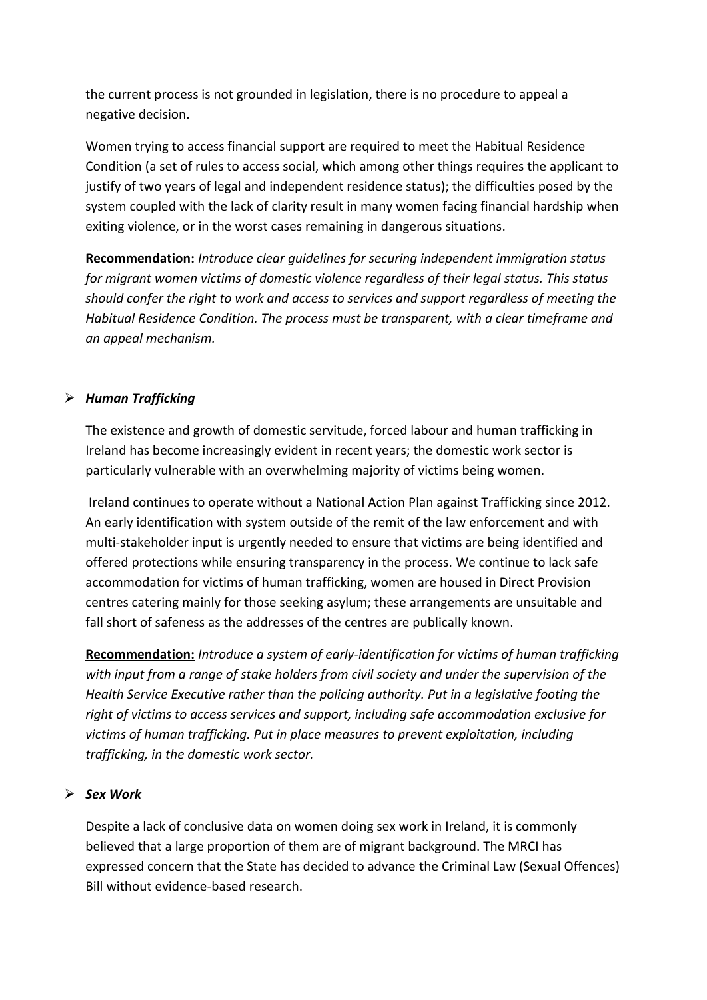the current process is not grounded in legislation, there is no procedure to appeal a negative decision.

Women trying to access financial support are required to meet the Habitual Residence Condition (a set of rules to access social, which among other things requires the applicant to justify of two years of legal and independent residence status); the difficulties posed by the system coupled with the lack of clarity result in many women facing financial hardship when exiting violence, or in the worst cases remaining in dangerous situations.

**Recommendation:** *Introduce clear guidelines for securing independent immigration status for migrant women victims of domestic violence regardless of their legal status. This status should confer the right to work and access to services and support regardless of meeting the Habitual Residence Condition. The process must be transparent, with a clear timeframe and an appeal mechanism.*

#### ➢ *Human Trafficking*

The existence and growth of domestic servitude, forced labour and human trafficking in Ireland has become increasingly evident in recent years; the domestic work sector is particularly vulnerable with an overwhelming majority of victims being women.

Ireland continues to operate without a National Action Plan against Trafficking since 2012. An early identification with system outside of the remit of the law enforcement and with multi-stakeholder input is urgently needed to ensure that victims are being identified and offered protections while ensuring transparency in the process. We continue to lack safe accommodation for victims of human trafficking, women are housed in Direct Provision centres catering mainly for those seeking asylum; these arrangements are unsuitable and fall short of safeness as the addresses of the centres are publically known.

**Recommendation:** *Introduce a system of early-identification for victims of human trafficking with input from a range of stake holders from civil society and under the supervision of the Health Service Executive rather than the policing authority. Put in a legislative footing the right of victims to access services and support, including safe accommodation exclusive for victims of human trafficking. Put in place measures to prevent exploitation, including trafficking, in the domestic work sector.*

#### ➢ *Sex Work*

Despite a lack of conclusive data on women doing sex work in Ireland, it is commonly believed that a large proportion of them are of migrant background. The MRCI has expressed concern that the State has decided to advance the Criminal Law (Sexual Offences) Bill without evidence-based research.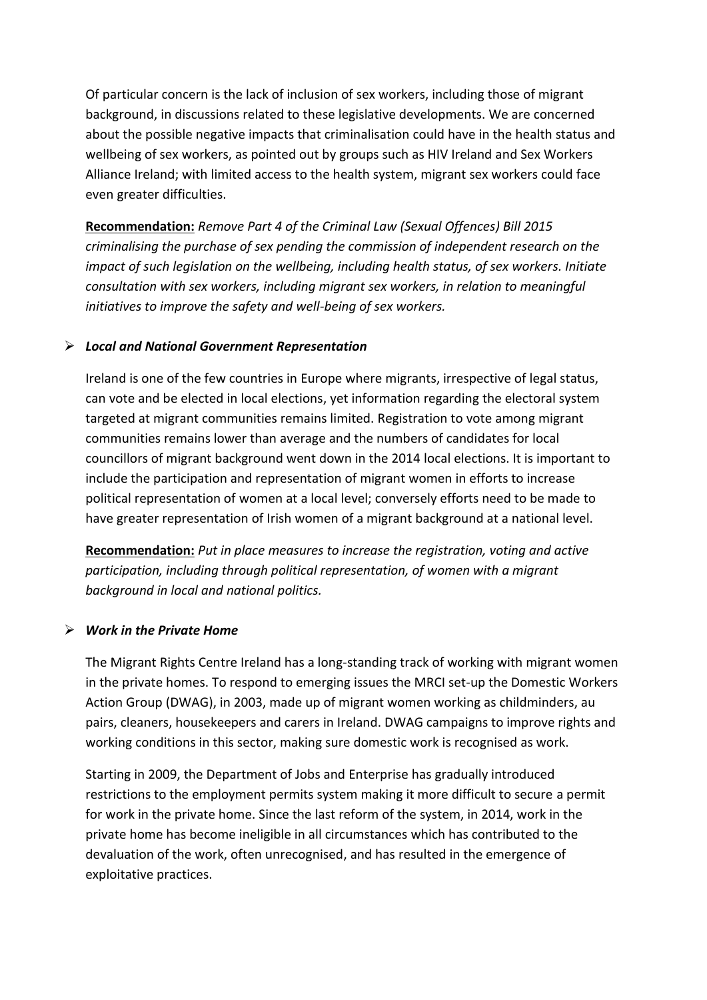Of particular concern is the lack of inclusion of sex workers, including those of migrant background, in discussions related to these legislative developments. We are concerned about the possible negative impacts that criminalisation could have in the health status and wellbeing of sex workers, as pointed out by groups such as HIV Ireland and Sex Workers Alliance Ireland; with limited access to the health system, migrant sex workers could face even greater difficulties.

**Recommendation:** *Remove Part 4 of the Criminal Law (Sexual Offences) Bill 2015 criminalising the purchase of sex pending the commission of independent research on the impact of such legislation on the wellbeing, including health status, of sex workers. Initiate consultation with sex workers, including migrant sex workers, in relation to meaningful initiatives to improve the safety and well-being of sex workers.*

#### ➢ *Local and National Government Representation*

Ireland is one of the few countries in Europe where migrants, irrespective of legal status, can vote and be elected in local elections, yet information regarding the electoral system targeted at migrant communities remains limited. Registration to vote among migrant communities remains lower than average and the numbers of candidates for local councillors of migrant background went down in the 2014 local elections. It is important to include the participation and representation of migrant women in efforts to increase political representation of women at a local level; conversely efforts need to be made to have greater representation of Irish women of a migrant background at a national level.

**Recommendation:** *Put in place measures to increase the registration, voting and active participation, including through political representation, of women with a migrant background in local and national politics.*

#### ➢ *Work in the Private Home*

The Migrant Rights Centre Ireland has a long-standing track of working with migrant women in the private homes. To respond to emerging issues the MRCI set-up the Domestic Workers Action Group (DWAG), in 2003, made up of migrant women working as childminders, au pairs, cleaners, housekeepers and carers in Ireland. DWAG campaigns to improve rights and working conditions in this sector, making sure domestic work is recognised as work.

Starting in 2009, the Department of Jobs and Enterprise has gradually introduced restrictions to the employment permits system making it more difficult to secure a permit for work in the private home. Since the last reform of the system, in 2014, work in the private home has become ineligible in all circumstances which has contributed to the devaluation of the work, often unrecognised, and has resulted in the emergence of exploitative practices.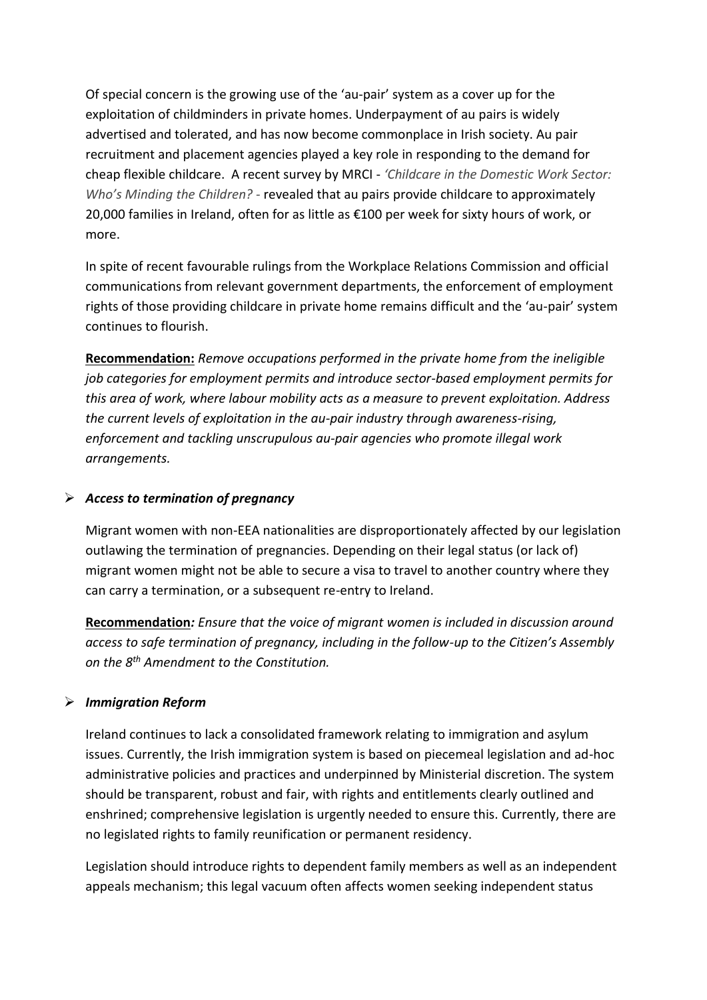Of special concern is the growing use of the 'au-pair' system as a cover up for the exploitation of childminders in private homes. Underpayment of au pairs is widely advertised and tolerated, and has now become commonplace in Irish society. Au pair recruitment and placement agencies played a key role in responding to the demand for cheap flexible childcare. A recent survey by MRCI - *'Childcare in the Domestic Work Sector: Who's Minding the Children? -* revealed that au pairs provide childcare to approximately 20,000 families in Ireland, often for as little as €100 per week for sixty hours of work, or more.

In spite of recent favourable rulings from the Workplace Relations Commission and official communications from relevant government departments, the enforcement of employment rights of those providing childcare in private home remains difficult and the 'au-pair' system continues to flourish.

**Recommendation:** *Remove occupations performed in the private home from the ineligible job categories for employment permits and introduce sector-based employment permits for this area of work, where labour mobility acts as a measure to prevent exploitation. Address the current levels of exploitation in the au-pair industry through awareness-rising, enforcement and tackling unscrupulous au-pair agencies who promote illegal work arrangements.*

#### ➢ *Access to termination of pregnancy*

Migrant women with non-EEA nationalities are disproportionately affected by our legislation outlawing the termination of pregnancies. Depending on their legal status (or lack of) migrant women might not be able to secure a visa to travel to another country where they can carry a termination, or a subsequent re-entry to Ireland.

**Recommendation***: Ensure that the voice of migrant women is included in discussion around access to safe termination of pregnancy, including in the follow-up to the Citizen's Assembly on the 8th Amendment to the Constitution.*

#### ➢ *Immigration Reform*

Ireland continues to lack a consolidated framework relating to immigration and asylum issues. Currently, the Irish immigration system is based on piecemeal legislation and ad-hoc administrative policies and practices and underpinned by Ministerial discretion. The system should be transparent, robust and fair, with rights and entitlements clearly outlined and enshrined; comprehensive legislation is urgently needed to ensure this. Currently, there are no legislated rights to family reunification or permanent residency.

Legislation should introduce rights to dependent family members as well as an independent appeals mechanism; this legal vacuum often affects women seeking independent status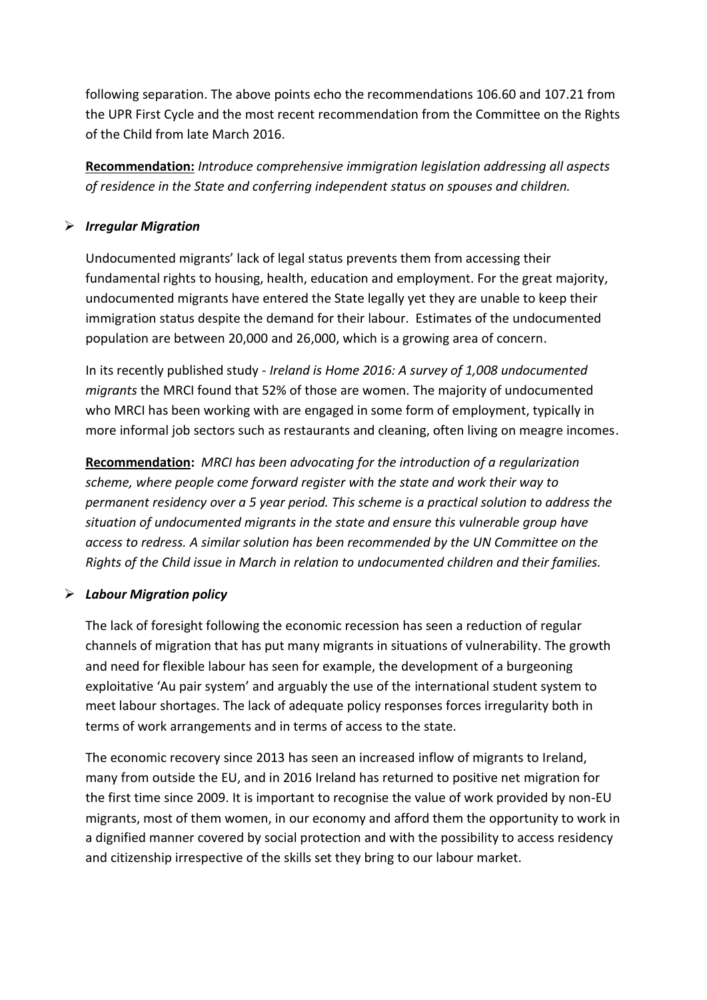following separation. The above points echo the recommendations 106.60 and 107.21 from the UPR First Cycle and the most recent recommendation from the Committee on the Rights of the Child from late March 2016.

**Recommendation:** *Introduce comprehensive immigration legislation addressing all aspects of residence in the State and conferring independent status on spouses and children.* 

#### ➢ *Irregular Migration*

Undocumented migrants' lack of legal status prevents them from accessing their fundamental rights to housing, health, education and employment. For the great majority, undocumented migrants have entered the State legally yet they are unable to keep their immigration status despite the demand for their labour. Estimates of the undocumented population are between 20,000 and 26,000, which is a growing area of concern.

In its recently published study - *Ireland is Home 2016: A survey of 1,008 undocumented migrants* the MRCI found that 52% of those are women. The majority of undocumented who MRCI has been working with are engaged in some form of employment, typically in more informal job sectors such as restaurants and cleaning, often living on meagre incomes.

**Recommendation:** *MRCI has been advocating for the introduction of a regularization scheme, where people come forward register with the state and work their way to permanent residency over a 5 year period. This scheme is a practical solution to address the situation of undocumented migrants in the state and ensure this vulnerable group have access to redress. A similar solution has been recommended by the UN Committee on the Rights of the Child issue in March in relation to undocumented children and their families.*

#### ➢ *Labour Migration policy*

The lack of foresight following the economic recession has seen a reduction of regular channels of migration that has put many migrants in situations of vulnerability. The growth and need for flexible labour has seen for example, the development of a burgeoning exploitative 'Au pair system' and arguably the use of the international student system to meet labour shortages. The lack of adequate policy responses forces irregularity both in terms of work arrangements and in terms of access to the state.

The economic recovery since 2013 has seen an increased inflow of migrants to Ireland, many from outside the EU, and in 2016 Ireland has returned to positive net migration for the first time since 2009. It is important to recognise the value of work provided by non-EU migrants, most of them women, in our economy and afford them the opportunity to work in a dignified manner covered by social protection and with the possibility to access residency and citizenship irrespective of the skills set they bring to our labour market.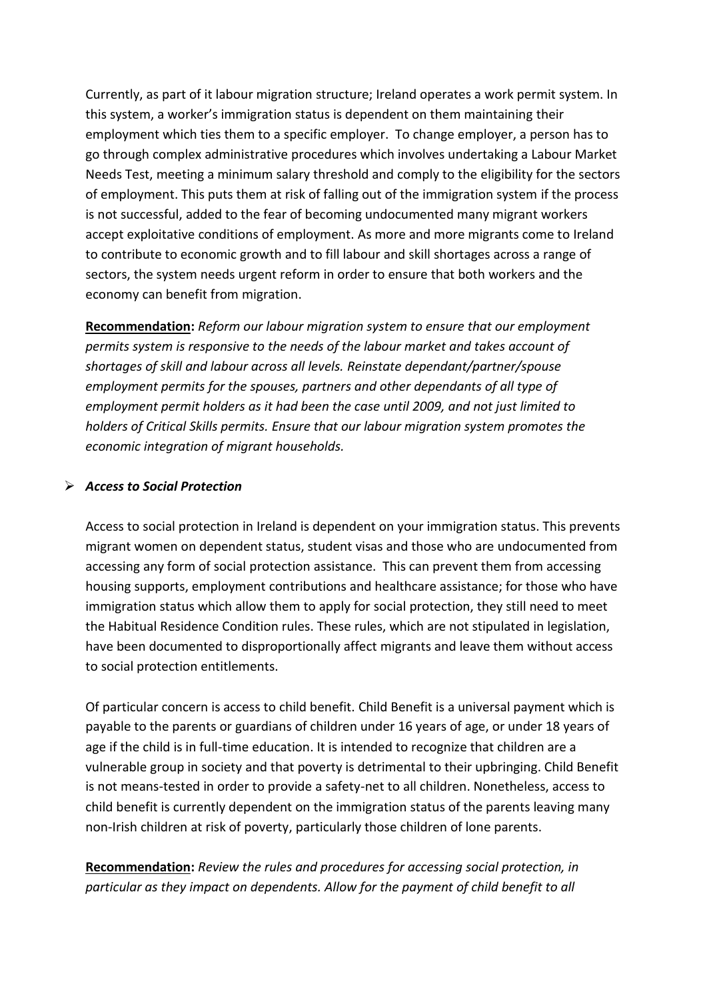Currently, as part of it labour migration structure; Ireland operates a work permit system. In this system, a worker's immigration status is dependent on them maintaining their employment which ties them to a specific employer. To change employer, a person has to go through complex administrative procedures which involves undertaking a Labour Market Needs Test, meeting a minimum salary threshold and comply to the eligibility for the sectors of employment. This puts them at risk of falling out of the immigration system if the process is not successful, added to the fear of becoming undocumented many migrant workers accept exploitative conditions of employment. As more and more migrants come to Ireland to contribute to economic growth and to fill labour and skill shortages across a range of sectors, the system needs urgent reform in order to ensure that both workers and the economy can benefit from migration.

**Recommendation:** *Reform our labour migration system to ensure that our employment permits system is responsive to the needs of the labour market and takes account of shortages of skill and labour across all levels. Reinstate dependant/partner/spouse employment permits for the spouses, partners and other dependants of all type of employment permit holders as it had been the case until 2009, and not just limited to holders of Critical Skills permits. Ensure that our labour migration system promotes the economic integration of migrant households.*

#### ➢ *Access to Social Protection*

Access to social protection in Ireland is dependent on your immigration status. This prevents migrant women on dependent status, student visas and those who are undocumented from accessing any form of social protection assistance. This can prevent them from accessing housing supports, employment contributions and healthcare assistance; for those who have immigration status which allow them to apply for social protection, they still need to meet the Habitual Residence Condition rules. These rules, which are not stipulated in legislation, have been documented to disproportionally affect migrants and leave them without access to social protection entitlements.

Of particular concern is access to child benefit. Child Benefit is a universal payment which is payable to the parents or guardians of children under 16 years of age, or under 18 years of age if the child is in full-time education. It is intended to recognize that children are a vulnerable group in society and that poverty is detrimental to their upbringing. Child Benefit is not means-tested in order to provide a safety-net to all children. Nonetheless, access to child benefit is currently dependent on the immigration status of the parents leaving many non-Irish children at risk of poverty, particularly those children of lone parents.

**Recommendation:** *Review the rules and procedures for accessing social protection, in particular as they impact on dependents. Allow for the payment of child benefit to all*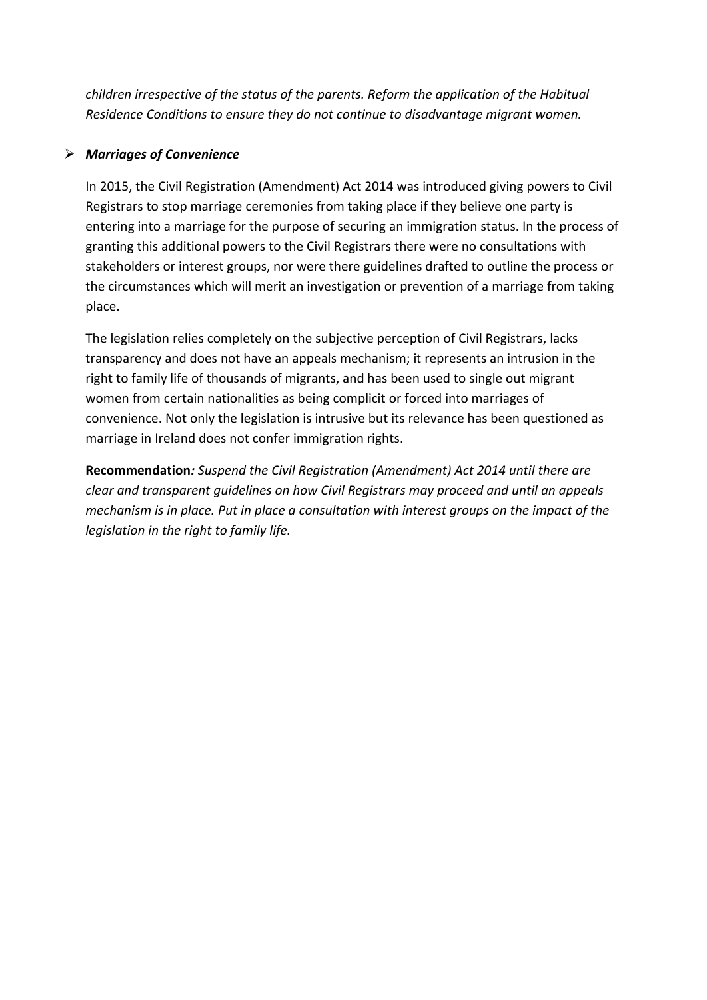*children irrespective of the status of the parents. Reform the application of the Habitual Residence Conditions to ensure they do not continue to disadvantage migrant women.*

#### ➢ *Marriages of Convenience*

In 2015, the Civil Registration (Amendment) Act 2014 was introduced giving powers to Civil Registrars to stop marriage ceremonies from taking place if they believe one party is entering into a marriage for the purpose of securing an immigration status. In the process of granting this additional powers to the Civil Registrars there were no consultations with stakeholders or interest groups, nor were there guidelines drafted to outline the process or the circumstances which will merit an investigation or prevention of a marriage from taking place.

The legislation relies completely on the subjective perception of Civil Registrars, lacks transparency and does not have an appeals mechanism; it represents an intrusion in the right to family life of thousands of migrants, and has been used to single out migrant women from certain nationalities as being complicit or forced into marriages of convenience. Not only the legislation is intrusive but its relevance has been questioned as marriage in Ireland does not confer immigration rights.

**Recommendation***: Suspend the Civil Registration (Amendment) Act 2014 until there are clear and transparent guidelines on how Civil Registrars may proceed and until an appeals mechanism is in place. Put in place a consultation with interest groups on the impact of the legislation in the right to family life.*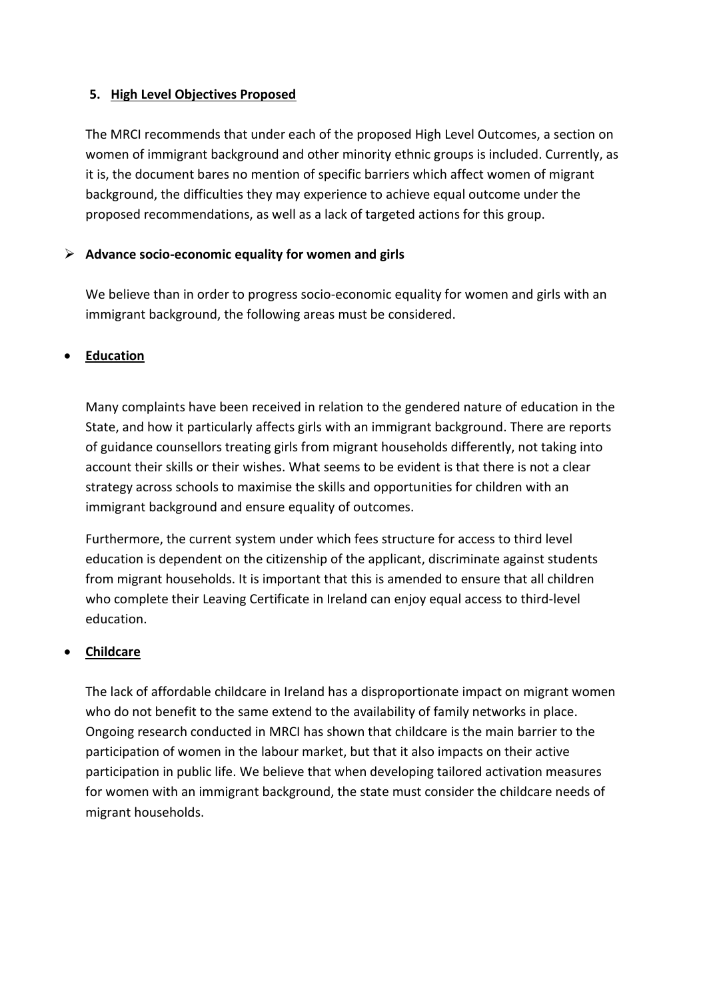#### **5. High Level Objectives Proposed**

The MRCI recommends that under each of the proposed High Level Outcomes, a section on women of immigrant background and other minority ethnic groups is included. Currently, as it is, the document bares no mention of specific barriers which affect women of migrant background, the difficulties they may experience to achieve equal outcome under the proposed recommendations, as well as a lack of targeted actions for this group.

#### ➢ **Advance socio-economic equality for women and girls**

We believe than in order to progress socio-economic equality for women and girls with an immigrant background, the following areas must be considered.

#### • **Education**

Many complaints have been received in relation to the gendered nature of education in the State, and how it particularly affects girls with an immigrant background. There are reports of guidance counsellors treating girls from migrant households differently, not taking into account their skills or their wishes. What seems to be evident is that there is not a clear strategy across schools to maximise the skills and opportunities for children with an immigrant background and ensure equality of outcomes.

Furthermore, the current system under which fees structure for access to third level education is dependent on the citizenship of the applicant, discriminate against students from migrant households. It is important that this is amended to ensure that all children who complete their Leaving Certificate in Ireland can enjoy equal access to third-level education.

# • **Childcare**

The lack of affordable childcare in Ireland has a disproportionate impact on migrant women who do not benefit to the same extend to the availability of family networks in place. Ongoing research conducted in MRCI has shown that childcare is the main barrier to the participation of women in the labour market, but that it also impacts on their active participation in public life. We believe that when developing tailored activation measures for women with an immigrant background, the state must consider the childcare needs of migrant households.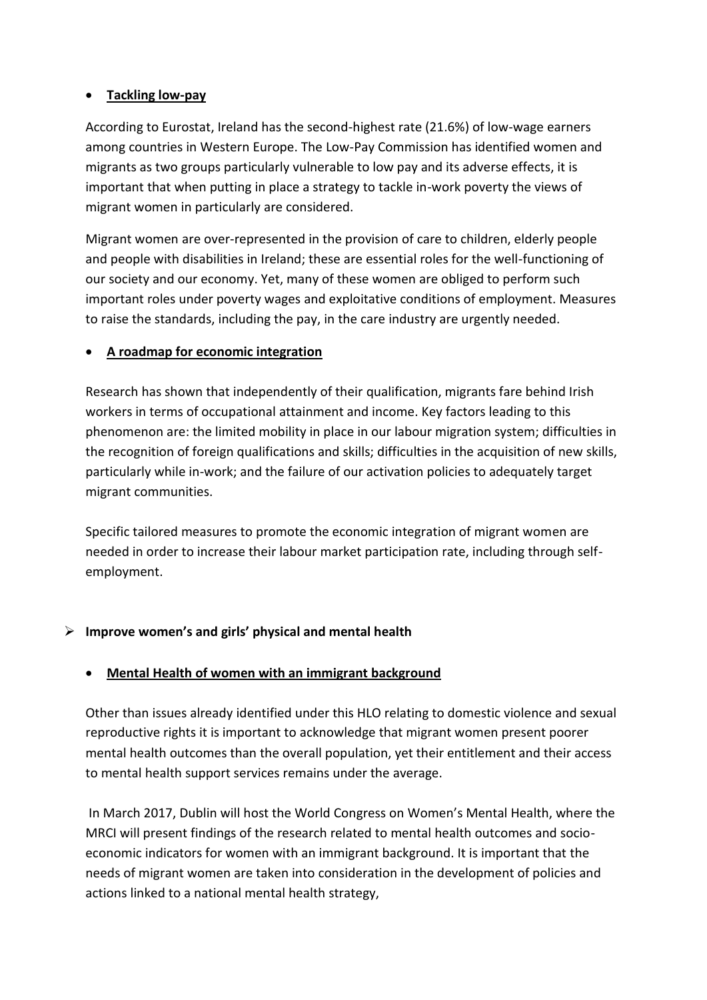#### • **Tackling low-pay**

According to Eurostat, Ireland has the second-highest rate (21.6%) of low-wage earners among countries in Western Europe. The Low-Pay Commission has identified women and migrants as two groups particularly vulnerable to low pay and its adverse effects, it is important that when putting in place a strategy to tackle in-work poverty the views of migrant women in particularly are considered.

Migrant women are over-represented in the provision of care to children, elderly people and people with disabilities in Ireland; these are essential roles for the well-functioning of our society and our economy. Yet, many of these women are obliged to perform such important roles under poverty wages and exploitative conditions of employment. Measures to raise the standards, including the pay, in the care industry are urgently needed.

#### • **A roadmap for economic integration**

Research has shown that independently of their qualification, migrants fare behind Irish workers in terms of occupational attainment and income. Key factors leading to this phenomenon are: the limited mobility in place in our labour migration system; difficulties in the recognition of foreign qualifications and skills; difficulties in the acquisition of new skills, particularly while in-work; and the failure of our activation policies to adequately target migrant communities.

Specific tailored measures to promote the economic integration of migrant women are needed in order to increase their labour market participation rate, including through selfemployment.

# ➢ **Improve women's and girls' physical and mental health**

#### • **Mental Health of women with an immigrant background**

Other than issues already identified under this HLO relating to domestic violence and sexual reproductive rights it is important to acknowledge that migrant women present poorer mental health outcomes than the overall population, yet their entitlement and their access to mental health support services remains under the average.

In March 2017, Dublin will host the World Congress on Women's Mental Health, where the MRCI will present findings of the research related to mental health outcomes and socioeconomic indicators for women with an immigrant background. It is important that the needs of migrant women are taken into consideration in the development of policies and actions linked to a national mental health strategy,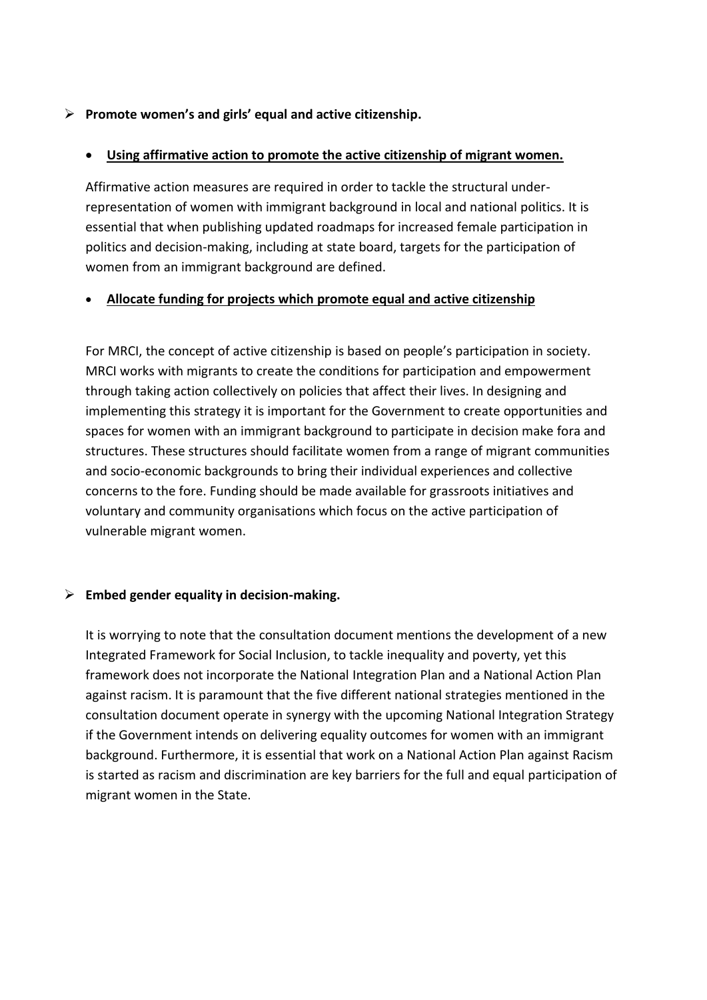#### ➢ **Promote women's and girls' equal and active citizenship.**

#### • **Using affirmative action to promote the active citizenship of migrant women.**

Affirmative action measures are required in order to tackle the structural underrepresentation of women with immigrant background in local and national politics. It is essential that when publishing updated roadmaps for increased female participation in politics and decision-making, including at state board, targets for the participation of women from an immigrant background are defined.

#### • **Allocate funding for projects which promote equal and active citizenship**

For MRCI, the concept of active citizenship is based on people's participation in society. MRCI works with migrants to create the conditions for participation and empowerment through taking action collectively on policies that affect their lives. In designing and implementing this strategy it is important for the Government to create opportunities and spaces for women with an immigrant background to participate in decision make fora and structures. These structures should facilitate women from a range of migrant communities and socio-economic backgrounds to bring their individual experiences and collective concerns to the fore. Funding should be made available for grassroots initiatives and voluntary and community organisations which focus on the active participation of vulnerable migrant women.

#### ➢ **Embed gender equality in decision-making.**

It is worrying to note that the consultation document mentions the development of a new Integrated Framework for Social Inclusion, to tackle inequality and poverty, yet this framework does not incorporate the National Integration Plan and a National Action Plan against racism. It is paramount that the five different national strategies mentioned in the consultation document operate in synergy with the upcoming National Integration Strategy if the Government intends on delivering equality outcomes for women with an immigrant background. Furthermore, it is essential that work on a National Action Plan against Racism is started as racism and discrimination are key barriers for the full and equal participation of migrant women in the State.